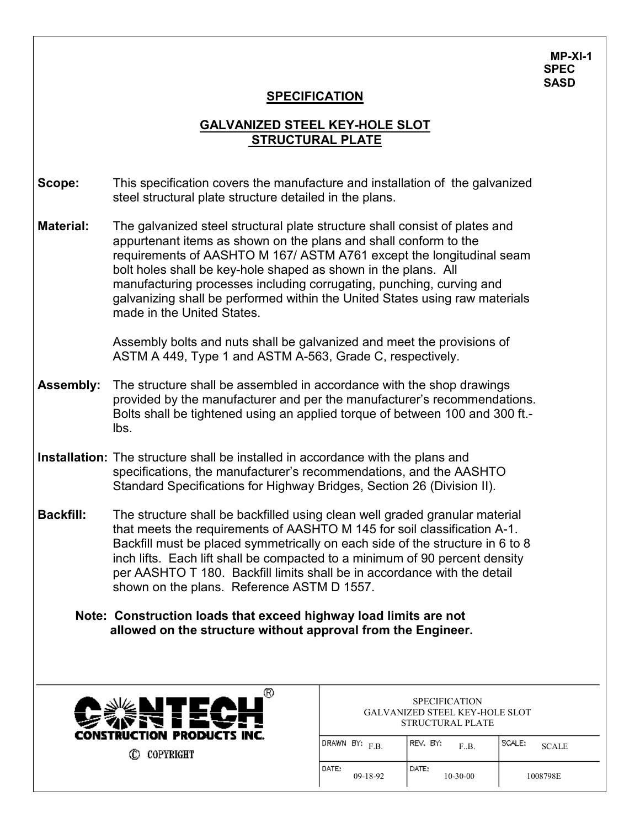**MP-XI-1 SPEC SASD**

## **SPECIFICATION**

## **GALVANIZED STEEL KEY-HOLE SLOT STRUCTURAL PLATE**

- **Scope:** This specification covers the manufacture and installation of the galvanized steel structural plate structure detailed in the plans.
- **Material:** The galvanized steel structural plate structure shall consist of plates and appurtenant items as shown on the plans and shall conform to the requirements of AASHTO M 167/ ASTM A761 except the longitudinal seam bolt holes shall be key-hole shaped as shown in the plans. All manufacturing processes including corrugating, punching, curving and galvanizing shall be performed within the United States using raw materials made in the United States.

Assembly bolts and nuts shall be galvanized and meet the provisions of ASTM A 449, Type 1 and ASTM A-563, Grade C, respectively.

- **Assembly:** The structure shall be assembled in accordance with the shop drawings provided by the manufacturer and per the manufacturer's recommendations. Bolts shall be tightened using an applied torque of between 100 and 300 ft. lbs.
- **Installation:** The structure shall be installed in accordance with the plans and specifications, the manufacturer's recommendations, and the AASHTO Standard Specifications for Highway Bridges, Section 26 (Division II).
- **Backfill:** The structure shall be backfilled using clean well graded granular material that meets the requirements of AASHTO M 145 for soil classification A-1. Backfill must be placed symmetrically on each side of the structure in 6 to 8 inch lifts. Each lift shall be compacted to a minimum of 90 percent density per AASHTO T 180. Backfill limits shall be in accordance with the detail shown on the plans. Reference ASTM D 1557.
	- **Note: Construction loads that exceed highway load limits are not allowed on the structure without approval from the Engineer.**



| <b>SPECIFICATION</b>                  |  |
|---------------------------------------|--|
| <b>GALVANIZED STEEL KEY-HOLE SLOT</b> |  |
| STRUCTURAL PLATE                      |  |
|                                       |  |

| (DRAWN BY: <sub>F.B.</sub> | IREV, BY;<br>F.B.       | I SCALE:<br><b>SCALE</b> |
|----------------------------|-------------------------|--------------------------|
| I DATE:<br>$09-18-92$      | DATE:<br>$10 - 30 - 00$ | 1008798E                 |